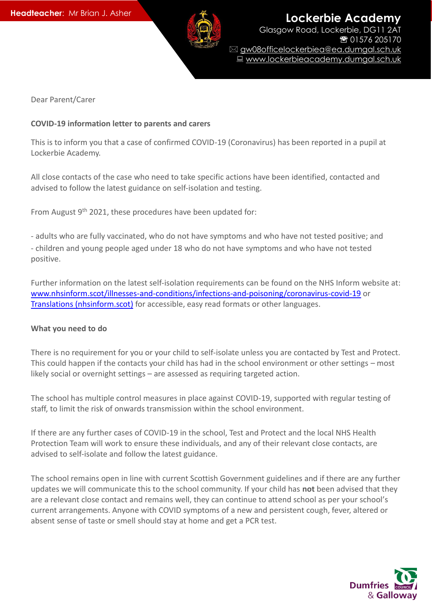

**Lockerbie Academy** Glasgow Road, Lockerbie, DG11 2AT ■ 01576 205170 gw08officelockerbiea@ea.dumgal.sch.uk ■ www.lockerbieacademy.dumgal.sch.uk

Dear Parent/Carer

#### **COVID-19 information letter to parents and carers**

This is to inform you that a case of confirmed COVID-19 (Coronavirus) has been reported in a pupil at Lockerbie Academy.

All close contacts of the case who need to take specific actions have been identified, contacted and advised to follow the latest guidance on self-isolation and testing.

From August  $9<sup>th</sup>$  2021, these procedures have been updated for:

- adults who are fully vaccinated, who do not have symptoms and who have not tested positive; and - children and young people aged under 18 who do not have symptoms and who have not tested positive.

Further information on the latest self-isolation requirements can be found on the NHS Inform website at: [www.nhsinform.scot/illnesses-and-conditions/infections-and-poisoning/coronavirus-covid-19](http://www.nhsinform.scot/illnesses-and-conditions/infections-and-poisoning/coronavirus-covid-19) or [Translations \(nhsinform.scot\)](https://www.nhsinform.scot/translations) for accessible, easy read formats or other languages.

#### **What you need to do**

There is no requirement for you or your child to self-isolate unless you are contacted by Test and Protect. This could happen if the contacts your child has had in the school environment or other settings – most likely social or overnight settings – are assessed as requiring targeted action.

The school has multiple control measures in place against COVID-19, supported with regular testing of staff, to limit the risk of onwards transmission within the school environment.

If there are any further cases of COVID-19 in the school, Test and Protect and the local NHS Health Protection Team will work to ensure these individuals, and any of their relevant close contacts, are advised to self-isolate and follow the latest guidance.

The school remains open in line with current Scottish Government guidelines and if there are any further updates we will communicate this to the school community. If your child has **not** been advised that they are a relevant close contact and remains well, they can continue to attend school as per your school's current arrangements. Anyone with COVID symptoms of a new and persistent cough, fever, altered or absent sense of taste or smell should stay at home and get a PCR test.

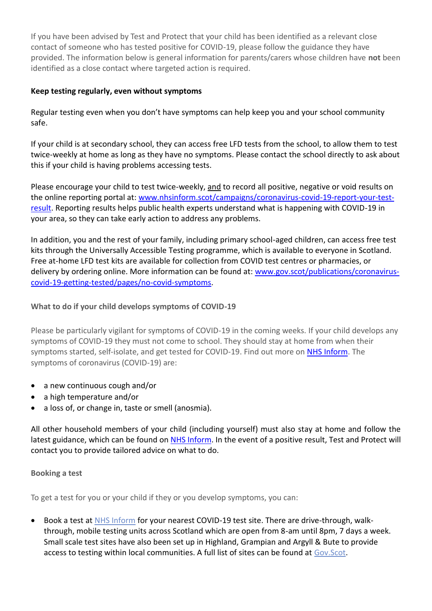If you have been advised by Test and Protect that your child has been identified as a relevant close contact of someone who has tested positive for COVID-19, please follow the guidance they have provided. The information below is general information for parents/carers whose children have **not** been identified as a close contact where targeted action is required.

# **Keep testing regularly, even without symptoms**

Regular testing even when you don't have symptoms can help keep you and your school community safe.

If your child is at secondary school, they can access free LFD tests from the school, to allow them to test twice-weekly at home as long as they have no symptoms. Please contact the school directly to ask about this if your child is having problems accessing tests.

Please encourage your child to test twice-weekly, and to record all positive, negative or void results on the online reporting portal at: [www.nhsinform.scot/campaigns/coronavirus-covid-19-report-your-test](http://www.nhsinform.scot/campaigns/coronavirus-covid-19-report-your-test-result)[result.](http://www.nhsinform.scot/campaigns/coronavirus-covid-19-report-your-test-result) Reporting results helps public health experts understand what is happening with COVID-19 in your area, so they can take early action to address any problems.

In addition, you and the rest of your family, including primary school-aged children, can access free test kits through the Universally Accessible Testing programme, which is available to everyone in Scotland. Free at-home LFD test kits are available for collection from COVID test centres or pharmacies, or delivery by ordering online. More information can be found at: [www.gov.scot/publications/coronavirus](http://www.gov.scot/publications/coronavirus-covid-19-getting-tested/pages/no-covid-symptoms)[covid-19-getting-tested/pages/no-covid-symptoms.](http://www.gov.scot/publications/coronavirus-covid-19-getting-tested/pages/no-covid-symptoms)

# **What to do if your child develops symptoms of COVID-19**

Please be particularly vigilant for symptoms of COVID-19 in the coming weeks. If your child develops any symptoms of COVID-19 they must not come to school. They should stay at home from when their symptoms started, self-isolate, and get tested for COVID-19. Find out more on [NHS Inform.](https://www.nhsinform.scot/illnesses-and-conditions/infections-and-poisoning/coronavirus-covid-19/test-and-protect/coronavirus-covid-19-testing) The symptoms of coronavirus (COVID-19) are:

- a new continuous cough and/or
- a high temperature and/or
- a loss of, or change in, taste or smell (anosmia).

All other household members of your child (including yourself) must also stay at home and follow the latest guidance, which can be found on [NHS Inform.](https://www.nhsinform.scot/illnesses-and-conditions/infections-and-poisoning/coronavirus-covid-19) In the event of a positive result, Test and Protect will contact you to provide tailored advice on what to do.

## **Booking a test**

To get a test for you or your child if they or you develop symptoms, you can:

 Book a test at [NHS Inform](https://www.nhsinform.scot/illnesses-and-conditions/infections-and-poisoning/coronavirus-covid-19/test-and-protect/coronavirus-covid-19-testing) for your nearest COVID-19 test site. There are drive-through, walkthrough, mobile testing units across Scotland which are open from 8-am until 8pm, 7 days a week. Small scale test sites have also been set up in Highland, Grampian and Argyll & Bute to provide access to testing within local communities. A full list of sites can be found at [Gov.Scot.](https://www.gov.scot/publications/coronavirus-covid-19-getting-tested/pages/covid-symptoms/)